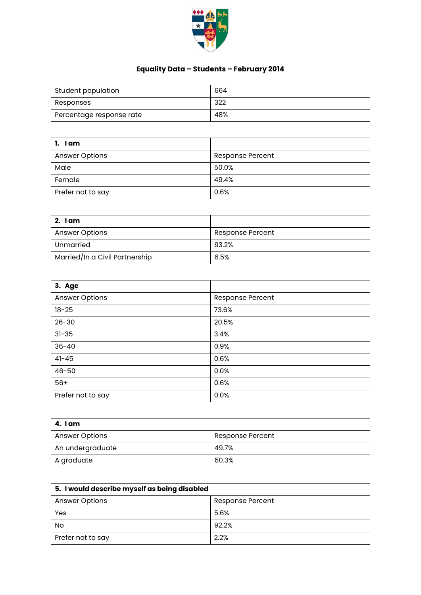

## **Equality Data – Students – February 2014**

| Student population       | 664 |
|--------------------------|-----|
| Responses                | 322 |
| Percentage response rate | 48% |

| 1. Iam                |                         |
|-----------------------|-------------------------|
| <b>Answer Options</b> | <b>Response Percent</b> |
| Male                  | 50.0%                   |
| Female                | 49.4%                   |
| Prefer not to say     | 0.6%                    |

| 2. I am                        |                  |
|--------------------------------|------------------|
| <b>Answer Options</b>          | Response Percent |
| Unmarried                      | 93.2%            |
| Married/In a Civil Partnership | 6.5%             |

| 3. Age                |                  |
|-----------------------|------------------|
| <b>Answer Options</b> | Response Percent |
| $18 - 25$             | 73.6%            |
| $26 - 30$             | 20.5%            |
| $31 - 35$             | 3.4%             |
| $36 - 40$             | 0.9%             |
| $41 - 45$             | 0.6%             |
| $46 - 50$             | 0.0%             |
| $56+$                 | 0.6%             |
| Prefer not to say     | 0.0%             |

| 4. I am               |                  |
|-----------------------|------------------|
| <b>Answer Options</b> | Response Percent |
| An undergraduate      | 49.7%            |
| A graduate            | 50.3%            |

| 5. I would describe myself as being disabled |                  |
|----------------------------------------------|------------------|
| <b>Answer Options</b>                        | Response Percent |
| Yes                                          | 5.6%             |
| No                                           | 92.2%            |
| Prefer not to say                            | 2.2%             |